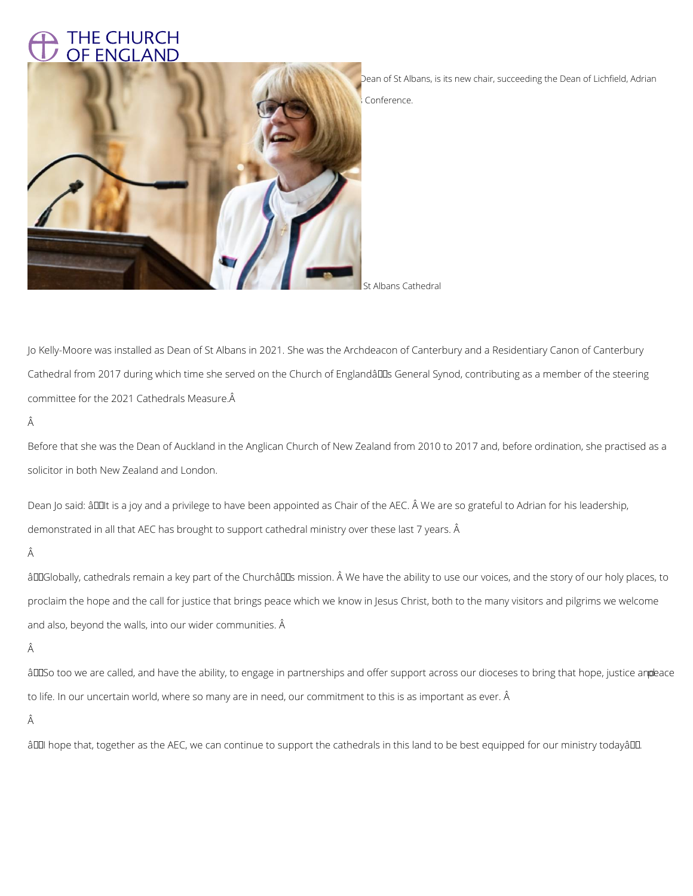## **THE CHURCH** OF ENGLAND



Dean of St Albans, is its new chair, succeeding the Dean of Lichfield, Adrian

Conference.

St Albans Cathedral

Jo Kelly-Moore was installed as Dean of St Albans in 2021. She was the Archdeacon of Canterbury and a Residentiary Canon of Canterbury Cathedral from 2017 during which time she served on the Church of Englandâll General Synod, contributing as a member of the steering committee for the 2021 Cathedrals Measure.

Â

Dean Jo said: âDOIt is a joy and a privilege to have been appointed as Chair of the AEC. Â We are so grateful to Adrian for his leadership, demonstrated in all that AEC has brought to support cathedral ministry over these last 7 years. Â

Â

âDDGlobally, cathedrals remain a key part of the ChurchâDDs mission. Â We have the ability to use our voices, and the story of our holy places, to proclaim the hope and the call for justice that brings peace which we know in Jesus Christ, both to the many visitors and pilgrims we welcome and also, beyond the walls, into our wider communities. Â

Before that she was the Dean of Auckland in the Anglican Church of New Zealand from 2010 to 2017 and, before ordination, she practised as a solicitor in both New Zealand and London.

âDDSo too we are called, and have the ability, to engage in partnerships and offer support across our dioceses to bring that hope, justice and bace

to life. In our uncertain world, where so many are in need, our commitment to this is as important as ever. Â

Â

âDDI hope that, together as the AEC, we can continue to support the cathedrals in this land to be best equipped for our ministry todayâDD.